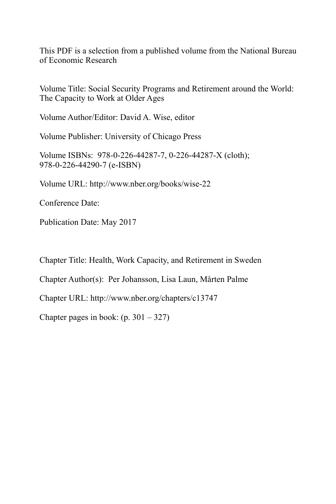This PDF is a selection from a published volume from the National Bureau of Economic Research

Volume Title: Social Security Programs and Retirement around the World: The Capacity to Work at Older Ages

Volume Author/Editor: David A. Wise, editor

Volume Publisher: University of Chicago Press

Volume ISBNs: 978-0-226-44287-7, 0-226-44287-X (cloth); 978-0-226-44290-7 (e-ISBN)

Volume URL: http://www.nber.org/books/wise-22

Conference Date:

Publication Date: May 2017

Chapter Title: Health, Work Capacity, and Retirement in Sweden

Chapter Author(s): Per Johansson, Lisa Laun, Mårten Palme

Chapter URL: http://www.nber.org/chapters/c13747

Chapter pages in book:  $(p. 301 - 327)$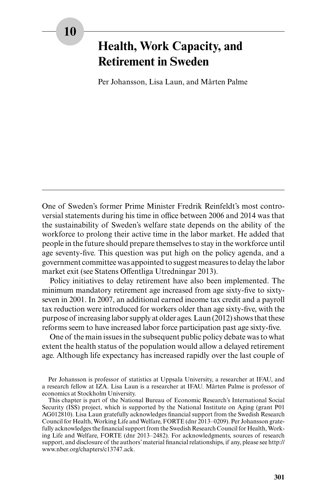# **Health, Work Capacity, and Retirement in Sweden**

Per Johansson, Lisa Laun, and Mårten Palme

One of Sweden's former Prime Minister Fredrik Reinfeldt's most controversial statements during his time in office between 2006 and 2014 was that the sustainability of Sweden's welfare state depends on the ability of the workforce to prolong their active time in the labor market. He added that people in the future should prepare themselves to stay in the workforce until age seventy-five. This question was put high on the policy agenda, and a government committee was appointed to suggest measures to delay the labor market exit (see Statens Offentliga Utredningar 2013).

Policy initiatives to delay retirement have also been implemented. The minimum mandatory retirement age increased from age sixty-five to sixtyseven in 2001. In 2007, an additional earned income tax credit and a payroll tax reduction were introduced for workers older than age sixty-five, with the purpose of increasing labor supply at older ages. Laun (2012) shows that these reforms seem to have increased labor force participation past age sixty-five.

One of the main issues in the subsequent public policy debate was to what extent the health status of the population would allow a delayed retirement age. Although life expectancy has increased rapidly over the last couple of

Per Johansson is professor of statistics at Uppsala University, a researcher at IFAU, and a research fellow at IZA. Lisa Laun is a researcher at IFAU. Mårten Palme is professor of economics at Stockholm University.

This chapter is part of the National Bureau of Economic Research's International Social Security (ISS) project, which is supported by the National Institute on Aging (grant P01 AG012810). Lisa Laun gratefully acknowledges financial support from the Swedish Research Council for Health, Working Life and Welfare, FORTE (dnr 2013–0209). Per Johansson gratefully acknowledges the financial support from the Swedish Research Council for Health, Working Life and Welfare, FORTE (dnr 2013–2482). For acknowledgments, sources of research support, and disclosure of the authors' material financial relationships, if any, please see http:// www.nber.org/chapters/c13747.ack.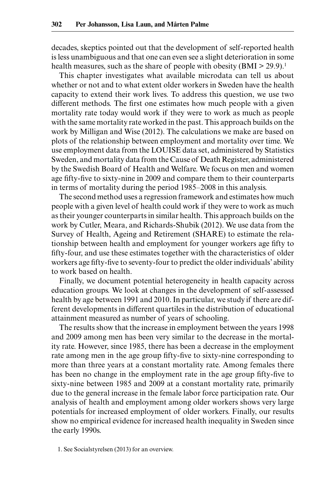decades, skeptics pointed out that the development of self-reported health is less unambiguous and that one can even see a slight deterioration in some health measures, such as the share of people with obesity  $(BMI > 29.9)$ .<sup>1</sup>

This chapter investigates what available microdata can tell us about whether or not and to what extent older workers in Sweden have the health capacity to extend their work lives. To address this question, we use two different methods. The first one estimates how much people with a given mortality rate today would work if they were to work as much as people with the same mortality rate worked in the past. This approach builds on the work by Milligan and Wise (2012). The calculations we make are based on plots of the relationship between employment and mortality over time. We use employment data from the LOUISE data set, administered by Statistics Sweden, and mortality data from the Cause of Death Register, administered by the Swedish Board of Health and Welfare. We focus on men and women age fifty-five to sixty-nine in 2009 and compare them to their counterparts in terms of mortality during the period 1985–2008 in this analysis.

The second method uses a regression framework and estimates how much people with a given level of health could work if they were to work as much as their younger counterparts in similar health. This approach builds on the work by Cutler, Meara, and Richards-Shubik (2012). We use data from the Survey of Health, Ageing and Retirement (SHARE) to estimate the relationship between health and employment for younger workers age fifty to fifty-four, and use these estimates together with the characteristics of older workers age fifty-five to seventy-four to predict the older individuals' ability to work based on health.

Finally, we document potential heterogeneity in health capacity across education groups. We look at changes in the development of self-assessed health by age between 1991 and 2010. In particular, we study if there are different developments in different quartiles in the distribution of educational attainment measured as number of years of schooling.

The results show that the increase in employment between the years 1998 and 2009 among men has been very similar to the decrease in the mortality rate. However, since 1985, there has been a decrease in the employment rate among men in the age group fifty-five to sixty-nine corresponding to more than three years at a constant mortality rate. Among females there has been no change in the employment rate in the age group fifty-five to sixty-nine between 1985 and 2009 at a constant mortality rate, primarily due to the general increase in the female labor force participation rate. Our analysis of health and employment among older workers shows very large potentials for increased employment of older workers. Finally, our results show no empirical evidence for increased health inequality in Sweden since the early 1990s.

<sup>1.</sup> See Socialstyrelsen (2013) for an overview.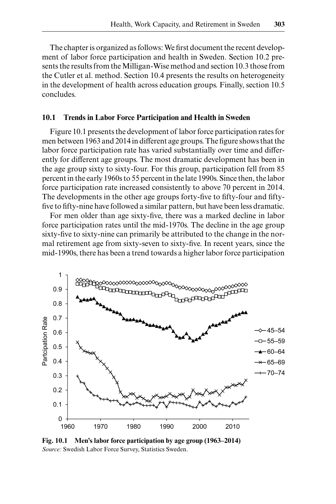The chapter is organized as follows: We first document the recent development of labor force participation and health in Sweden. Section 10.2 presents the results from the Milligan-Wise method and section 10.3 those from the Cutler et al. method. Section 10.4 presents the results on heterogeneity in the development of health across education groups. Finally, section 10.5 concludes.

#### **10.1 Trends in Labor Force Participation and Health in Sweden**

Figure 10.1 presents the development of labor force participation rates for men between 1963 and 2014 in different age groups. The figure shows that the labor force participation rate has varied substantially over time and differently for different age groups. The most dramatic development has been in the age group sixty to sixty-four. For this group, participation fell from 85 percent in the early 1960s to 55 percent in the late 1990s. Since then, the labor force participation rate increased consistently to above 70 percent in 2014. The developments in the other age groups forty-five to fifty-four and fiftyfive to fifty-nine have followed a similar pattern, but have been less dramatic.

For men older than age sixty-five, there was a marked decline in labor force participation rates until the mid-1970s. The decline in the age group sixty-five to sixty-nine can primarily be attributed to the change in the normal retirement age from sixty-seven to sixty-five. In recent years, since the mid-1990s, there has been a trend towards a higher labor force participation



**Fig. 10.1 Men's labor force participation by age group (1963–2014)** *Source:* Swedish Labor Force Survey, Statistics Sweden.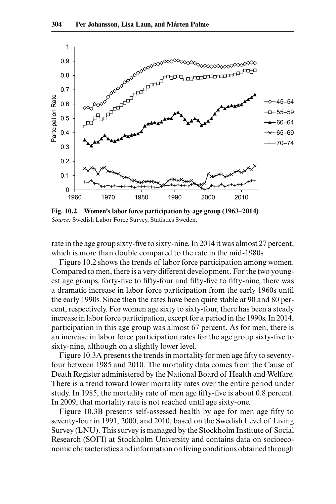

**Fig. 10.2 Women's labor force participation by age group (1963–2014)** *Source:* Swedish Labor Force Survey, Statistics Sweden.

rate in the age group sixty-five to sixty-nine. In 2014 it was almost 27 percent, which is more than double compared to the rate in the mid-1980s.

Figure 10.2 shows the trends of labor force participation among women. Compared to men, there is a very different development. For the two youngest age groups, forty-five to fifty-four and fifty-five to fifty-nine, there was a dramatic increase in labor force participation from the early 1960s until the early 1990s. Since then the rates have been quite stable at 90 and 80 percent, respectively. For women age sixty to sixty-four, there has been a steady increase in labor force participation, except for a period in the 1990s. In 2014, participation in this age group was almost 67 percent. As for men, there is an increase in labor force participation rates for the age group sixty-five to sixty-nine, although on a slightly lower level.

Figure 10.3A presents the trends in mortality for men age fifty to seventyfour between 1985 and 2010. The mortality data comes from the Cause of Death Register administered by the National Board of Health and Welfare. There is a trend toward lower mortality rates over the entire period under study. In 1985, the mortality rate of men age fifty-five is about 0.8 percent. In 2009, that mortality rate is not reached until age sixty-one.

Figure 10.3B presents self-assessed health by age for men age fifty to seventy-four in 1991, 2000, and 2010, based on the Swedish Level of Living Survey (LNU). This survey is managed by the Stockholm Institute of Social Research (SOFI) at Stockholm University and contains data on socioeconomic characteristics and information on living conditions obtained through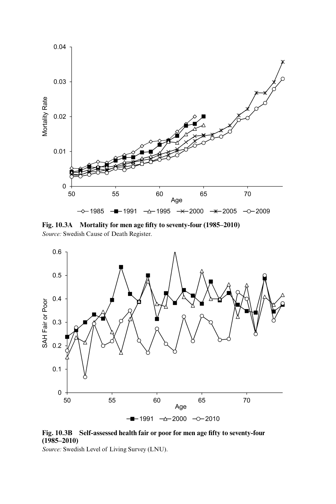

**Fig. 10.3A Mortality for men age fifty to seventy-four (1985–2010)** *Source:* Swedish Cause of Death Register.



**Fig. 10.3B Self-assessed health fair or poor for men age fifty to seventy-four (1985–2010)**

*Source:* Swedish Level of Living Survey (LNU).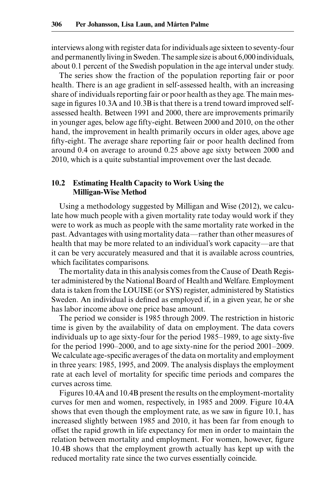interviews along with register data for individuals age sixteen to seventy-four and permanently living in Sweden. The sample size is about 6,000 individuals, about 0.1 percent of the Swedish population in the age interval under study.

The series show the fraction of the population reporting fair or poor health. There is an age gradient in self-assessed health, with an increasing share of individuals reporting fair or poor health as they age. The main message in figures 10.3A and 10.3B is that there is a trend toward improved selfassessed health. Between 1991 and 2000, there are improvements primarily in younger ages, below age fifty-eight. Between 2000 and 2010, on the other hand, the improvement in health primarily occurs in older ages, above age fifty-eight. The average share reporting fair or poor health declined from around 0.4 on average to around 0.25 above age sixty between 2000 and 2010, which is a quite substantial improvement over the last decade.

# **10.2 Estimating Health Capacity to Work Using the Milligan-Wise Method**

Using a methodology suggested by Milligan and Wise (2012), we calculate how much people with a given mortality rate today would work if they were to work as much as people with the same mortality rate worked in the past. Advantages with using mortality data—rather than other measures of health that may be more related to an individual's work capacity—are that it can be very accurately measured and that it is available across countries, which facilitates comparisons.

The mortality data in this analysis comes from the Cause of Death Register administered by the National Board of Health and Welfare. Employment data is taken from the LOUISE (or SYS) register, administered by Statistics Sweden. An individual is defined as employed if, in a given year, he or she has labor income above one price base amount.

The period we consider is 1985 through 2009. The restriction in historic time is given by the availability of data on employment. The data covers individuals up to age sixty-four for the period 1985–1989, to age sixty-five for the period 1990–2000, and to age sixty-nine for the period 2001–2009. We calculate age-specific averages of the data on mortality and employment in three years: 1985, 1995, and 2009. The analysis displays the employment rate at each level of mortality for specific time periods and compares the curves across time.

Figures 10.4A and 10.4B present the results on the employment-mortality curves for men and women, respectively, in 1985 and 2009. Figure 10.4A shows that even though the employment rate, as we saw in figure 10.1, has increased slightly between 1985 and 2010, it has been far from enough to offset the rapid growth in life expectancy for men in order to maintain the relation between mortality and employment. For women, however, figure 10.4B shows that the employment growth actually has kept up with the reduced mortality rate since the two curves essentially coincide.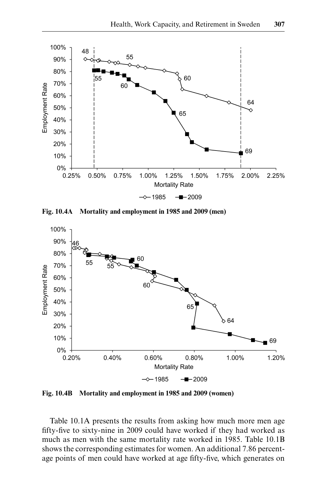

**Fig. 10.4A Mortality and employment in 1985 and 2009 (men)**



**Fig. 10.4B Mortality and employment in 1985 and 2009 (women)**

Table 10.1A presents the results from asking how much more men age fifty-five to sixty-nine in 2009 could have worked if they had worked as much as men with the same mortality rate worked in 1985. Table 10.1B shows the corresponding estimates for women. An additional 7.86 percentage points of men could have worked at age fifty-five, which generates on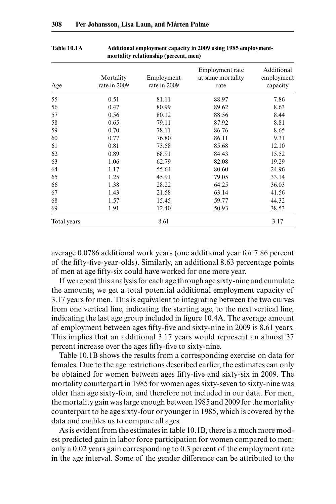| Age         | Mortality<br>rate in 2009 | Employment<br>rate in 2009 | Employment rate<br>at same mortality<br>rate | Additional<br>employment<br>capacity |
|-------------|---------------------------|----------------------------|----------------------------------------------|--------------------------------------|
| 55          | 0.51                      | 81.11                      | 88.97                                        | 7.86                                 |
| 56          | 0.47                      | 80.99                      | 89.62                                        | 8.63                                 |
| 57          | 0.56                      | 80.12                      | 88.56                                        | 8.44                                 |
| 58          | 0.65                      | 79.11                      | 87.92                                        | 8.81                                 |
| 59          | 0.70                      | 78.11                      | 86.76                                        | 8.65                                 |
| 60          | 0.77                      | 76.80                      | 86.11                                        | 9.31                                 |
| 61          | 0.81                      | 73.58                      | 85.68                                        | 12.10                                |
| 62          | 0.89                      | 68.91                      | 84.43                                        | 15.52                                |
| 63          | 1.06                      | 62.79                      | 82.08                                        | 19.29                                |
| 64          | 1.17                      | 55.64                      | 80.60                                        | 24.96                                |
| 65          | 1.25                      | 45.91                      | 79.05                                        | 33.14                                |
| 66          | 1.38                      | 28.22                      | 64.25                                        | 36.03                                |
| 67          | 1.43                      | 21.58                      | 63.14                                        | 41.56                                |
| 68          | 1.57                      | 15.45                      | 59.77                                        | 44.32                                |
| 69          | 1.91                      | 12.40                      | 50.93                                        | 38.53                                |
| Total years |                           | 8.61                       |                                              | 3.17                                 |

## **Table 10.1A Additional employment capacity in 2009 using 1985 employmentmortality relationship (percent, men)**

average 0.0786 additional work years (one additional year for 7.86 percent of the fifty-five-year-olds). Similarly, an additional 8.63 percentage points of men at age fifty-six could have worked for one more year.

If we repeat this analysis for each age through age sixty-nine and cumulate the amounts, we get a total potential additional employment capacity of 3.17 years for men. This is equivalent to integrating between the two curves from one vertical line, indicating the starting age, to the next vertical line, indicating the last age group included in figure 10.4A. The average amount of employment between ages fifty-five and sixty-nine in 2009 is 8.61 years. This implies that an additional 3.17 years would represent an almost 37 percent increase over the ages fifty-five to sixty-nine.

Table 10.1B shows the results from a corresponding exercise on data for females. Due to the age restrictions described earlier, the estimates can only be obtained for women between ages fifty-five and sixty-six in 2009. The mortality counterpart in 1985 for women ages sixty-seven to sixty-nine was older than age sixty-four, and therefore not included in our data. For men, the mortality gain was large enough between 1985 and 2009 for the mortality counterpart to be age sixty-four or younger in 1985, which is covered by the data and enables us to compare all ages.

As is evident from the estimates in table 10.1B, there is a much more modest predicted gain in labor force participation for women compared to men: only a 0.02 years gain corresponding to 0.3 percent of the employment rate in the age interval. Some of the gender difference can be attributed to the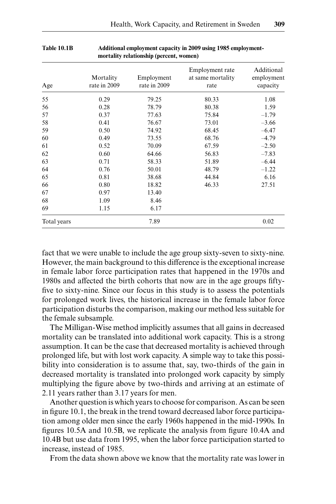| Age         | Mortality<br>rate in 2009 | Employment<br>rate in 2009 | Employment rate<br>at same mortality<br>rate | Additional<br>employment<br>capacity |
|-------------|---------------------------|----------------------------|----------------------------------------------|--------------------------------------|
| 55          | 0.29                      | 79.25                      | 80.33                                        | 1.08                                 |
| 56          | 0.28                      | 78.79                      | 80.38                                        | 1.59                                 |
| 57          | 0.37                      | 77.63                      | 75.84                                        | $-1.79$                              |
| 58          | 0.41                      | 76.67                      | 73.01                                        | $-3.66$                              |
| 59          | 0.50                      | 74.92                      | 68.45                                        | $-6.47$                              |
| 60          | 0.49                      | 73.55                      | 68.76                                        | $-4.79$                              |
| 61          | 0.52                      | 70.09                      | 67.59                                        | $-2.50$                              |
| 62          | 0.60                      | 64.66                      | 56.83                                        | $-7.83$                              |
| 63          | 0.71                      | 58.33                      | 51.89                                        | $-6.44$                              |
| 64          | 0.76                      | 50.01                      | 48.79                                        | $-1.22$                              |
| 65          | 0.81                      | 38.68                      | 44.84                                        | 6.16                                 |
| 66          | 0.80                      | 18.82                      | 46.33                                        | 27.51                                |
| 67          | 0.97                      | 13.40                      |                                              |                                      |
| 68          | 1.09                      | 8.46                       |                                              |                                      |
| 69          | 1.15                      | 6.17                       |                                              |                                      |
| Total years |                           | 7.89                       |                                              | 0.02                                 |

#### **Table 10.1B Additional employment capacity in 2009 using 1985 employmentmortality relationship (percent, women)**

fact that we were unable to include the age group sixty-seven to sixty-nine. However, the main background to this difference is the exceptional increase in female labor force participation rates that happened in the 1970s and 1980s and affected the birth cohorts that now are in the age groups fiftyfive to sixty-nine. Since our focus in this study is to assess the potentials for prolonged work lives, the historical increase in the female labor force participation disturbs the comparison, making our method less suitable for the female subsample.

The Milligan-Wise method implicitly assumes that all gains in decreased mortality can be translated into additional work capacity. This is a strong assumption. It can be the case that decreased mortality is achieved through prolonged life, but with lost work capacity. A simple way to take this possibility into consideration is to assume that, say, two-thirds of the gain in decreased mortality is translated into prolonged work capacity by simply multiplying the figure above by two-thirds and arriving at an estimate of 2.11 years rather than 3.17 years for men.

Another question is which years to choose for comparison. As can be seen in figure 10.1, the break in the trend toward decreased labor force participation among older men since the early 1960s happened in the mid-1990s. In figures 10.5A and 10.5B, we replicate the analysis from figure 10.4A and 10.4B but use data from 1995, when the labor force participation started to increase, instead of 1985.

From the data shown above we know that the mortality rate was lower in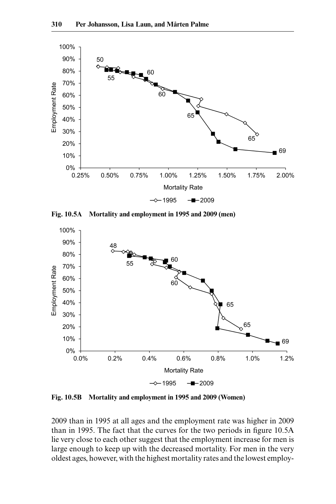

**Fig. 10.5A Mortality and employment in 1995 and 2009 (men)**



**Fig. 10.5B Mortality and employment in 1995 and 2009 (Women)**

2009 than in 1995 at all ages and the employment rate was higher in 2009 than in 1995. The fact that the curves for the two periods in figure 10.5A lie very close to each other suggest that the employment increase for men is large enough to keep up with the decreased mortality. For men in the very oldest ages, however, with the highest mortality rates and the lowest employ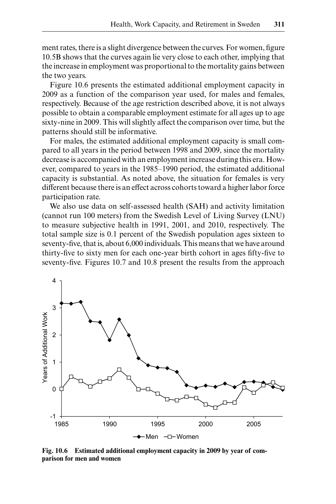ment rates, there is a slight divergence between the curves. For women, figure 10.5B shows that the curves again lie very close to each other, implying that the increase in employment was proportional to the mortality gains between the two years.

Figure 10.6 presents the estimated additional employment capacity in 2009 as a function of the comparison year used, for males and females, respectively. Because of the age restriction described above, it is not always possible to obtain a comparable employment estimate for all ages up to age sixty-nine in 2009. This will slightly affect the comparison over time, but the patterns should still be informative.

For males, the estimated additional employment capacity is small compared to all years in the period between 1998 and 2009, since the mortality decrease is accompanied with an employment increase during this era. However, compared to years in the 1985–1990 period, the estimated additional capacity is substantial. As noted above, the situation for females is very different because there is an effect across cohorts toward a higher labor force participation rate.

We also use data on self-assessed health (SAH) and activity limitation (cannot run 100 meters) from the Swedish Level of Living Survey (LNU) to measure subjective health in 1991, 2001, and 2010, respectively. The total sample size is 0.1 percent of the Swedish population ages sixteen to seventy-five, that is, about 6,000 individuals. This means that we have around thirty-five to sixty men for each one-year birth cohort in ages fifty-five to seventy-five. Figures 10.7 and 10.8 present the results from the approach



**Fig. 10.6 Estimated additional employment capacity in 2009 by year of comparison for men and women**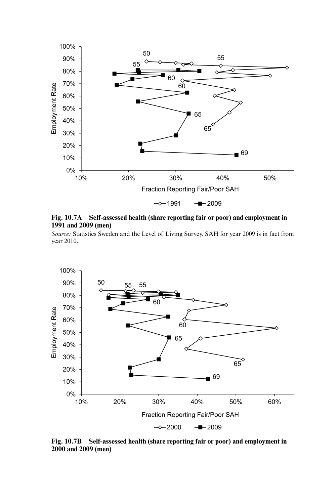

**Fig. 10.7A Self-assessed health (share reporting fair or poor) and employment in 1991 and 2009 (men)**

*Source:* Statistics Sweden and the Level of Living Survey. SAH for year 2009 is in fact from year 2010.



**Fig. 10.7B Self-assessed health (share reporting fair or poor) and employment in 2000 and 2009 (men)**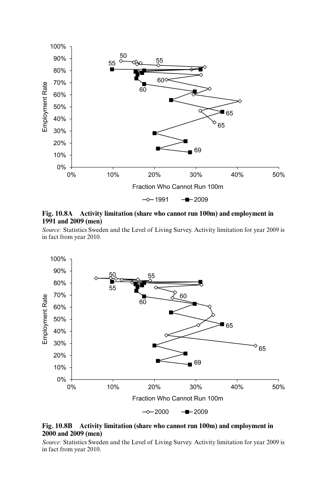

**Fig. 10.8A Activity limitation (share who cannot run 100m) and employment in 1991 and 2009 (men)**

*Source:* Statistics Sweden and the Level of Living Survey. Activity limitation for year 2009 is in fact from year 2010.



**Fig. 10.8B Activity limitation (share who cannot run 100m) and employment in 2000 and 2009 (men)**

*Source:* Statistics Sweden and the Level of Living Survey. Activity limitation for year 2009 is in fact from year 2010.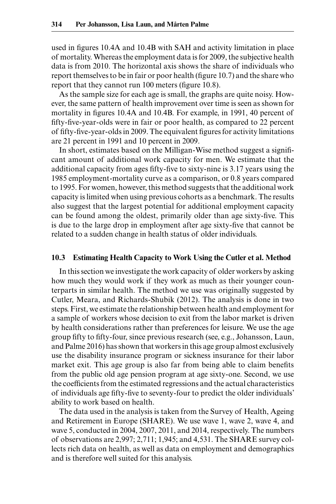used in figures 10.4A and 10.4B with SAH and activity limitation in place of mortality. Whereas the employment data is for 2009, the subjective health data is from 2010. The horizontal axis shows the share of individuals who report themselves to be in fair or poor health (figure 10.7) and the share who report that they cannot run 100 meters (figure 10.8).

As the sample size for each age is small, the graphs are quite noisy. However, the same pattern of health improvement over time is seen as shown for mortality in figures 10.4A and 10.4B. For example, in 1991, 40 percent of fifty-five-year-olds were in fair or poor health, as compared to 22 percent of fifty-five-year-olds in 2009. The equivalent figures for activity limitations are 21 percent in 1991 and 10 percent in 2009.

In short, estimates based on the Milligan-Wise method suggest a significant amount of additional work capacity for men. We estimate that the additional capacity from ages fifty-five to sixty-nine is 3.17 years using the 1985 employment-mortality curve as a comparison, or 0.8 years compared to 1995. For women, however, this method suggests that the additional work capacity is limited when using previous cohorts as a benchmark. The results also suggest that the largest potential for additional employment capacity can be found among the oldest, primarily older than age sixty-five. This is due to the large drop in employment after age sixty-five that cannot be related to a sudden change in health status of older individuals.

#### **10.3 Estimating Health Capacity to Work Using the Cutler et al. Method**

In this section we investigate the work capacity of older workers by asking how much they would work if they work as much as their younger counterparts in similar health. The method we use was originally suggested by Cutler, Meara, and Richards-Shubik (2012). The analysis is done in two steps. First, we estimate the relationship between health and employment for a sample of workers whose decision to exit from the labor market is driven by health considerations rather than preferences for leisure. We use the age group fifty to fifty-four, since previous research (see, e.g., Johansson, Laun, and Palme 2016) has shown that workers in this age group almost exclusively use the disability insurance program or sickness insurance for their labor market exit. This age group is also far from being able to claim benefits from the public old age pension program at age sixty-one. Second, we use the coefficients from the estimated regressions and the actual characteristics of individuals age fifty-five to seventy-four to predict the older individuals' ability to work based on health.

The data used in the analysis is taken from the Survey of Health, Ageing and Retirement in Europe (SHARE). We use wave 1, wave 2, wave 4, and wave 5, conducted in 2004, 2007, 2011, and 2014, respectively. The numbers of observations are 2,997; 2,711; 1,945; and 4,531. The SHARE survey collects rich data on health, as well as data on employment and demographics and is therefore well suited for this analysis.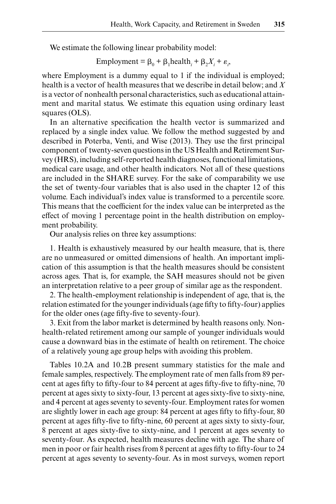We estimate the following linear probability model:

$$
Employment = \beta_0 + \beta_1 health_i + \beta_2 X_i + \varepsilon_i,
$$

where Employment is a dummy equal to 1 if the individual is employed; health is a vector of health measures that we describe in detail below; and *X* is a vector of nonhealth personal characteristics, such as educational attainment and marital status. We estimate this equation using ordinary least squares (OLS).

In an alternative specification the health vector is summarized and replaced by a single index value. We follow the method suggested by and described in Poterba, Venti, and Wise (2013). They use the first principal component of twenty-seven questions in the US Health and Retirement Survey (HRS), including self-reported health diagnoses, functional limitations, medical care usage, and other health indicators. Not all of these questions are included in the SHARE survey. For the sake of comparability we use the set of twenty-four variables that is also used in the chapter 12 of this volume. Each individual's index value is transformed to a percentile score. This means that the coefficient for the index value can be interpreted as the effect of moving 1 percentage point in the health distribution on employment probability.

Our analysis relies on three key assumptions:

1. Health is exhaustively measured by our health measure, that is, there are no unmeasured or omitted dimensions of health. An important implication of this assumption is that the health measures should be consistent across ages. That is, for example, the SAH measures should not be given an interpretation relative to a peer group of similar age as the respondent.

2. The health-employment relationship is independent of age, that is, the relation estimated for the younger individuals (age fifty to fifty-four) applies for the older ones (age fifty-five to seventy-four).

3. Exit from the labor market is determined by health reasons only. Nonhealth-related retirement among our sample of younger individuals would cause a downward bias in the estimate of health on retirement. The choice of a relatively young age group helps with avoiding this problem.

Tables 10.2A and 10.2B present summary statistics for the male and female samples, respectively. The employment rate of men falls from 89 percent at ages fifty to fifty-four to 84 percent at ages fifty-five to fifty-nine, 70 percent at ages sixty to sixty-four, 13 percent at ages sixty-five to sixty-nine, and 4 percent at ages seventy to seventy-four. Employment rates for women are slightly lower in each age group: 84 percent at ages fifty to fifty-four, 80 percent at ages fifty-five to fifty-nine, 60 percent at ages sixty to sixty-four, 8 percent at ages sixty-five to sixty-nine, and 1 percent at ages seventy to seventy-four. As expected, health measures decline with age. The share of men in poor or fair health rises from 8 percent at ages fifty to fifty-four to 24 percent at ages seventy to seventy-four. As in most surveys, women report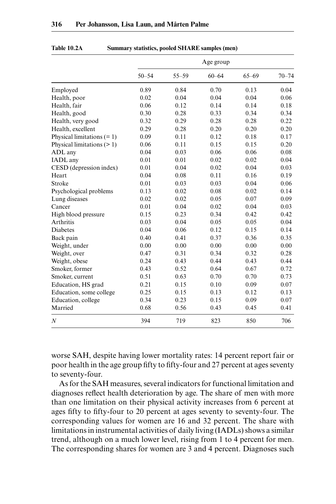|                              |           |           | Age group |           |           |
|------------------------------|-----------|-----------|-----------|-----------|-----------|
|                              | $50 - 54$ | $55 - 59$ | $60 - 64$ | $65 - 69$ | $70 - 74$ |
| Employed                     | 0.89      | 0.84      | 0.70      | 0.13      | 0.04      |
| Health, poor                 | 0.02      | 0.04      | 0.04      | 0.04      | 0.06      |
| Health, fair                 | 0.06      | 0.12      | 0.14      | 0.14      | 0.18      |
| Health, good                 | 0.30      | 0.28      | 0.33      | 0.34      | 0.34      |
| Health, very good            | 0.32      | 0.29      | 0.28      | 0.28      | 0.22      |
| Health, excellent            | 0.29      | 0.28      | 0.20      | 0.20      | 0.20      |
| Physical limitations $(= 1)$ | 0.09      | 0.11      | 0.12      | 0.18      | 0.17      |
| Physical limitations $(>1)$  | 0.06      | 0.11      | 0.15      | 0.15      | 0.20      |
| ADL any                      | 0.04      | 0.03      | 0.06      | 0.06      | 0.08      |
| IADL any                     | 0.01      | 0.01      | 0.02      | 0.02      | 0.04      |
| CESD (depression index)      | 0.01      | 0.04      | 0.02      | 0.04      | 0.03      |
| Heart                        | 0.04      | 0.08      | 0.11      | 0.16      | 0.19      |
| Stroke                       | 0.01      | 0.03      | 0.03      | 0.04      | 0.06      |
| Psychological problems       | 0.13      | 0.02      | 0.08      | 0.02      | 0.14      |
| Lung diseases                | 0.02      | 0.02      | 0.05      | 0.07      | 0.09      |
| Cancer                       | 0.01      | 0.04      | 0.02      | 0.04      | 0.03      |
| High blood pressure          | 0.15      | 0.23      | 0.34      | 0.42      | 0.42      |
| Arthritis                    | 0.03      | 0.04      | 0.05      | 0.05      | 0.04      |
| Diabetes                     | 0.04      | 0.06      | 0.12      | 0.15      | 0.14      |
| Back pain                    | 0.40      | 0.41      | 0.37      | 0.36      | 0.35      |
| Weight, under                | 0.00      | 0.00      | 0.00      | 0.00      | 0.00      |
| Weight, over                 | 0.47      | 0.31      | 0.34      | 0.32      | 0.28      |
| Weight, obese                | 0.24      | 0.43      | 0.44      | 0.43      | 0.44      |
| Smoker, former               | 0.43      | 0.52      | 0.64      | 0.67      | 0.72      |
| Smoker, current              | 0.51      | 0.63      | 0.70      | 0.70      | 0.73      |
| Education, HS grad           | 0.21      | 0.15      | 0.10      | 0.09      | 0.07      |
| Education, some college      | 0.25      | 0.15      | 0.13      | 0.12      | 0.13      |
| Education, college           | 0.34      | 0.23      | 0.15      | 0.09      | 0.07      |
| Married                      | 0.68      | 0.56      | 0.43      | 0.45      | 0.41      |
| $\boldsymbol{N}$             | 394       | 719       | 823       | 850       | 706       |

#### **Table 10.2A Summary statistics, pooled SHARE samples (men)**

worse SAH, despite having lower mortality rates: 14 percent report fair or poor health in the age group fifty to fifty-four and 27 percent at ages seventy to seventy-four.

As for the SAH measures, several indicators for functional limitation and diagnoses reflect health deterioration by age. The share of men with more than one limitation on their physical activity increases from 6 percent at ages fifty to fifty-four to 20 percent at ages seventy to seventy-four. The corresponding values for women are 16 and 32 percent. The share with limitations in instrumental activities of daily living (IADLs) shows a similar trend, although on a much lower level, rising from 1 to 4 percent for men. The corresponding shares for women are 3 and 4 percent. Diagnoses such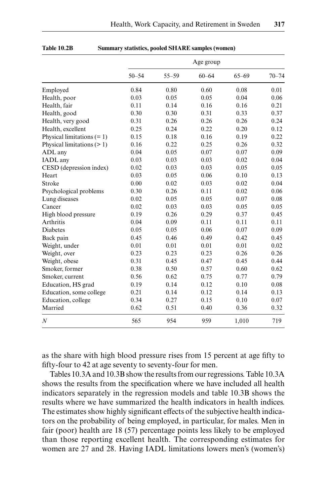|                              |           |           | Age group |           |           |
|------------------------------|-----------|-----------|-----------|-----------|-----------|
|                              | $50 - 54$ | $55 - 59$ | $60 - 64$ | $65 - 69$ | $70 - 74$ |
| Employed                     | 0.84      | 0.80      | 0.60      | 0.08      | 0.01      |
| Health, poor                 | 0.03      | 0.05      | 0.05      | 0.04      | 0.06      |
| Health, fair                 | 0.11      | 0.14      | 0.16      | 0.16      | 0.21      |
| Health, good                 | 0.30      | 0.30      | 0.31      | 0.33      | 0.37      |
| Health, very good            | 0.31      | 0.26      | 0.26      | 0.26      | 0.24      |
| Health, excellent            | 0.25      | 0.24      | 0.22      | 0.20      | 0.12      |
| Physical limitations $(= 1)$ | 0.15      | 0.18      | 0.16      | 0.19      | 0.22      |
| Physical limitations $(>1)$  | 0.16      | 0.22      | 0.25      | 0.26      | 0.32      |
| ADL any                      | 0.04      | 0.05      | 0.07      | 0.07      | 0.09      |
| IADL any                     | 0.03      | 0.03      | 0.03      | 0.02      | 0.04      |
| CESD (depression index)      | 0.02      | 0.03      | 0.03      | 0.05      | 0.05      |
| Heart                        | 0.03      | 0.05      | 0.06      | 0.10      | 0.13      |
| Stroke                       | 0.00      | 0.02      | 0.03      | 0.02      | 0.04      |
| Psychological problems       | 0.30      | 0.26      | 0.11      | 0.02      | 0.06      |
| Lung diseases                | 0.02      | 0.05      | 0.05      | 0.07      | 0.08      |
| Cancer                       | 0.02      | 0.03      | 0.03      | 0.05      | 0.05      |
| High blood pressure          | 0.19      | 0.26      | 0.29      | 0.37      | 0.45      |
| Arthritis                    | 0.04      | 0.09      | 0.11      | 0.11      | 0.11      |
| <b>Diabetes</b>              | 0.05      | 0.05      | 0.06      | 0.07      | 0.09      |
| Back pain                    | 0.45      | 0.46      | 0.49      | 0.42      | 0.45      |
| Weight, under                | 0.01      | 0.01      | 0.01      | 0.01      | 0.02      |
| Weight, over                 | 0.23      | 0.23      | 0.23      | 0.26      | 0.26      |
| Weight, obese                | 0.31      | 0.45      | 0.47      | 0.45      | 0.44      |
| Smoker, former               | 0.38      | 0.50      | 0.57      | 0.60      | 0.62      |
| Smoker, current              | 0.56      | 0.62      | 0.75      | 0.77      | 0.79      |
| Education, HS grad           | 0.19      | 0.14      | 0.12      | 0.10      | 0.08      |
| Education, some college      | 0.21      | 0.14      | 0.12      | 0.14      | 0.13      |
| Education, college           | 0.34      | 0.27      | 0.15      | 0.10      | 0.07      |
| Married                      | 0.62      | 0.51      | 0.40      | 0.36      | 0.32      |
| $\boldsymbol{N}$             | 565       | 954       | 959       | 1,010     | 719       |

**Table 10.2B Summary statistics, pooled SHARE samples (women)**

as the share with high blood pressure rises from 15 percent at age fifty to fifty-four to 42 at age seventy to seventy-four for men.

Tables 10.3A and 10.3B show the results from our regressions. Table 10.3A shows the results from the specification where we have included all health indicators separately in the regression models and table 10.3B shows the results where we have summarized the health indicators in health indices. The estimates show highly significant effects of the subjective health indicators on the probability of being employed, in particular, for males. Men in fair (poor) health are 18 (57) percentage points less likely to be employed than those reporting excellent health. The corresponding estimates for women are 27 and 28. Having IADL limitations lowers men's (women's)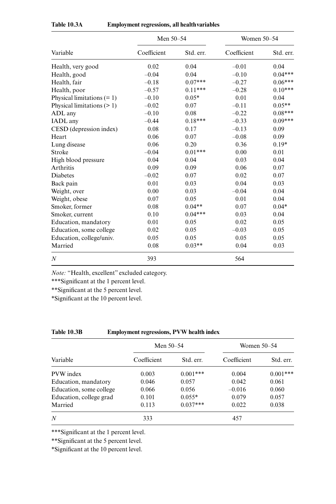|                              | Men 50-54   |           | <b>Women 50–54</b> |           |
|------------------------------|-------------|-----------|--------------------|-----------|
| Variable                     | Coefficient | Std. err. | Coefficient        | Std. err. |
| Health, very good            | 0.02        | 0.04      | $-0.01$            | 0.04      |
| Health, good                 | $-0.04$     | 0.04      | $-0.10$            | $0.04***$ |
| Health, fair                 | $-0.18$     | $0.07***$ | $-0.27$            | $0.06***$ |
| Health, poor                 | $-0.57$     | $0.11***$ | $-0.28$            | $0.10***$ |
| Physical limitations $(= 1)$ | $-0.10$     | $0.05*$   | 0.01               | 0.04      |
| Physical limitations $(>1)$  | $-0.02$     | 0.07      | $-0.11$            | $0.05**$  |
| ADL any                      | $-0.10$     | 0.08      | $-0.22$            | $0.08***$ |
| IADL any                     | $-0.44$     | $0.18***$ | $-0.33$            | $0.09***$ |
| CESD (depression index)      | 0.08        | 0.17      | $-0.13$            | 0.09      |
| Heart                        | 0.06        | 0.07      | $-0.08$            | 0.09      |
| Lung disease                 | 0.06        | 0.20      | 0.36               | $0.19*$   |
| Stroke                       | $-0.04$     | $0.01***$ | 0.00               | 0.01      |
| High blood pressure          | 0.04        | 0.04      | 0.03               | 0.04      |
| Arthritis                    | 0.09        | 0.09      | 0.06               | 0.07      |
| Diabetes                     | $-0.02$     | 0.07      | 0.02               | 0.07      |
| Back pain                    | 0.01        | 0.03      | 0.04               | 0.03      |
| Weight, over                 | 0.00        | 0.03      | $-0.04$            | 0.04      |
| Weight, obese                | 0.07        | 0.05      | 0.01               | 0.04      |
| Smoker, former               | 0.08        | $0.04**$  | 0.07               | $0.04*$   |
| Smoker, current              | 0.10        | $0.04***$ | 0.03               | 0.04      |
| Education, mandatory         | 0.01        | 0.05      | 0.02               | 0.05      |
| Education, some college      | 0.02        | 0.05      | $-0.03$            | 0.05      |
| Education, college/univ.     | 0.05        | 0.05      | 0.05               | 0.05      |
| Married                      | 0.08        | $0.03**$  | 0.04               | 0.03      |
| $\boldsymbol{N}$             | 393         |           | 564                |           |

| Table 10.3A | <b>Employment regressions, all health variables</b> |  |
|-------------|-----------------------------------------------------|--|
|             |                                                     |  |

*Note:* "Health, excellent" excluded category.

\*\*\*Significant at the 1 percent level.

\*\*Significant at the 5 percent level.

\*Significant at the 10 percent level.

## **Table 10.3B Employment regressions, PVW health index**

|                         | Men 50–54   |            | Women 50–54 |            |  |
|-------------------------|-------------|------------|-------------|------------|--|
| Variable                | Coefficient | Std. err.  | Coefficient | Std. err.  |  |
| PVW index               | 0.003       | $0.001***$ | 0.004       | $0.001***$ |  |
| Education, mandatory    | 0.046       | 0.057      | 0.042       | 0.061      |  |
| Education, some college | 0.066       | 0.056      | $-0.016$    | 0.060      |  |
| Education, college grad | 0.101       | $0.055*$   | 0.079       | 0.057      |  |
| Married                 | 0.113       | $0.037***$ | 0.022       | 0.038      |  |
| $\boldsymbol{N}$        | 333         |            | 457         |            |  |

\*\*\*Significant at the 1 percent level.

\*\*Significant at the 5 percent level.

\*Significant at the 10 percent level.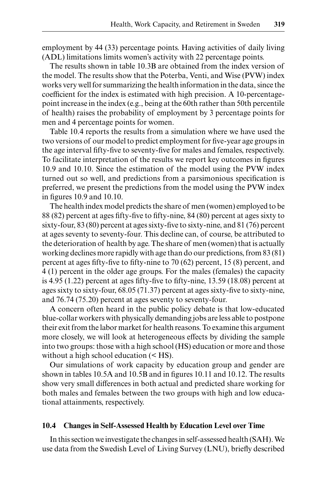employment by 44 (33) percentage points. Having activities of daily living (ADL) limitations limits women's activity with 22 percentage points.

The results shown in table 10.3B are obtained from the index version of the model. The results show that the Poterba, Venti, and Wise (PVW) index works very well for summarizing the health information in the data, since the coefficient for the index is estimated with high precision. A 10-percentagepoint increase in the index (e.g., being at the 60th rather than 50th percentile of health) raises the probability of employment by 3 percentage points for men and 4 percentage points for women.

Table 10.4 reports the results from a simulation where we have used the two versions of our model to predict employment for five-year age groups in the age interval fifty-five to seventy-five for males and females, respectively. To facilitate interpretation of the results we report key outcomes in figures 10.9 and 10.10. Since the estimation of the model using the PVW index turned out so well, and predictions from a parsimonious specification is preferred, we present the predictions from the model using the PVW index in figures 10.9 and 10.10.

The health index model predicts the share of men (women) employed to be 88 (82) percent at ages fifty-five to fifty-nine, 84 (80) percent at ages sixty to sixty-four, 83 (80) percent at ages sixty-five to sixty-nine, and 81 (76) percent at ages seventy to seventy-four. This decline can, of course, be attributed to the deterioration of health by age. The share of men (women) that is actually working declines more rapidly with age than do our predictions, from 83 (81) percent at ages fifty-five to fifty-nine to 70 (62) percent, 15 (8) percent, and 4 (1) percent in the older age groups. For the males (females) the capacity is 4.95 (1.22) percent at ages fifty-five to fifty-nine, 13.59 (18.08) percent at ages sixty to sixty-four, 68.05 (71.37) percent at ages sixty-five to sixty-nine, and 76.74 (75.20) percent at ages seventy to seventy-four.

A concern often heard in the public policy debate is that low-educated blue-collar workers with physically demanding jobs are less able to postpone their exit from the labor market for health reasons. To examine this argument more closely, we will look at heterogeneous effects by dividing the sample into two groups: those with a high school (HS) education or more and those without a high school education (< HS).

Our simulations of work capacity by education group and gender are shown in tables 10.5A and 10.5B and in figures 10.11 and 10.12. The results show very small differences in both actual and predicted share working for both males and females between the two groups with high and low educational attainments, respectively.

#### **10.4 Changes in Self-Assessed Health by Education Level over Time**

In this section we investigate the changes in self-assessed health (SAH). We use data from the Swedish Level of Living Survey (LNU), briefly described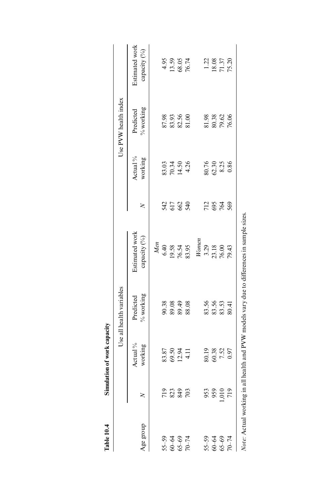| Table 10.4                               |              | Simulation of work capacity     |                          |                                                                    |                      |                                               |                                  |                                          |
|------------------------------------------|--------------|---------------------------------|--------------------------|--------------------------------------------------------------------|----------------------|-----------------------------------------------|----------------------------------|------------------------------------------|
|                                          |              |                                 | Use all health variables |                                                                    |                      |                                               | Use PVW health index             |                                          |
| Age group                                |              | Actual %<br>working             | % working<br>Predicted   | Estimated work<br>capacity (%)                                     | ≳                    | Actual <sup>9</sup> / <sub>0</sub><br>working | $%$ working<br>Predicted         | Estimated work<br>capacity (%)           |
|                                          |              |                                 |                          | Men                                                                |                      |                                               |                                  |                                          |
|                                          |              |                                 |                          |                                                                    |                      |                                               |                                  |                                          |
|                                          | <b>23323</b> | 83.87<br>89.50<br>89.51<br>4.11 | 90.38<br>89.49<br>88.88  |                                                                    | 3588                 | 83.34<br>20.34<br>80.34                       | 87.98<br>83.93<br>82.56<br>81.00 |                                          |
| $70-74$<br>$60-64$<br>$65-69$<br>$70-74$ |              |                                 |                          |                                                                    |                      |                                               |                                  |                                          |
|                                          |              |                                 |                          | $6.40$<br>$19.54$<br>$76.5$<br>83.                                 |                      |                                               |                                  | 4.95<br>13.59<br>68.05<br>76.74          |
|                                          |              |                                 |                          | Wonen                                                              |                      |                                               |                                  |                                          |
|                                          |              |                                 |                          |                                                                    |                      |                                               |                                  |                                          |
|                                          | 953          |                                 |                          |                                                                    |                      |                                               |                                  |                                          |
| 55–59<br>60–64<br>65–69<br>70–74         | ,010         | 80.19<br>60.38<br>7.52<br>0.97  | 83.56<br>83.53<br>80.41  | $3.29$<br>$23.18$<br>$76.00$<br>$79.43$                            | 12<br>28<br>28<br>28 | 80.76<br>62.325<br>0.86                       | 81.98<br>80.38<br>79.62<br>76.06 | $\frac{1.22}{1.8.08}$<br>18.037<br>75.20 |
|                                          | 719          |                                 |                          |                                                                    |                      |                                               |                                  |                                          |
| Note: Actual working in                  |              |                                 |                          | all health and PVW models vary due to differences in sample sizes. |                      |                                               |                                  |                                          |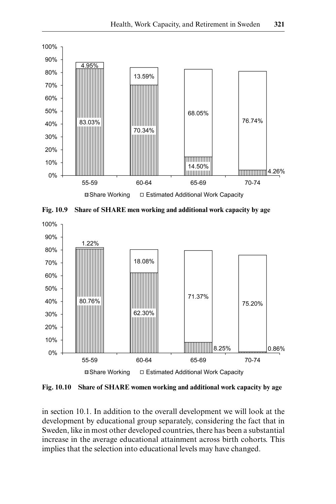





**Fig. 10.10 Share of SHARE women working and additional work capacity by age**

in section 10.1. In addition to the overall development we will look at the development by educational group separately, considering the fact that in Sweden, like in most other developed countries, there has been a substantial increase in the average educational attainment across birth cohorts. This implies that the selection into educational levels may have changed.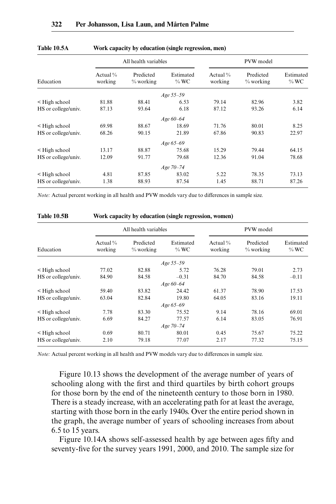|                     |                        | All health variables   |                      |                       | PVW model                |                      |
|---------------------|------------------------|------------------------|----------------------|-----------------------|--------------------------|----------------------|
| Education           | Actual $\%$<br>working | Predicted<br>% working | Estimated<br>$\%$ WC | Actual $%$<br>working | Predicted<br>$%$ working | Estimated<br>$\%$ WC |
|                     |                        |                        | Age 55-59            |                       |                          |                      |
| $\leq$ High school  | 81.88                  | 88.41                  | 6.53                 | 79.14                 | 82.96                    | 3.82                 |
| HS or college/univ. | 87.13                  | 93.64                  | 6.18                 | 87.12                 | 93.26                    | 6.14                 |
|                     |                        |                        | Age 60–64            |                       |                          |                      |
| $\leq$ High school  | 69.98                  | 88.67                  | 18.69                | 71.76                 | 80.01                    | 8.25                 |
| HS or college/univ. | 68.26                  | 90.15                  | 21.89                | 67.86                 | 90.83                    | 22.97                |
|                     |                        |                        | Age 65-69            |                       |                          |                      |
| < High school       | 13.17                  | 88.87                  | 75.68                | 15.29                 | 79.44                    | 64.15                |
| HS or college/univ. | 12.09                  | 91.77                  | 79.68                | 12.36                 | 91.04                    | 78.68                |
|                     |                        |                        | Age 70-74            |                       |                          |                      |
| < High school       | 4.81                   | 87.85                  | 83.02                | 5.22                  | 78.35                    | 73.13                |
| HS or college/univ. | 1.38                   | 88.93                  | 87.54                | 1.45                  | 88.71                    | 87.26                |

#### **Table 10.5A Work capacity by education (single regression, men)**

*Note:* Actual percent working in all health and PVW models vary due to differences in sample size.

|                     |                        | All health variables   |                      |                        | PVW model                |                      |
|---------------------|------------------------|------------------------|----------------------|------------------------|--------------------------|----------------------|
| Education           | Actual $\%$<br>working | Predicted<br>% working | Estimated<br>$\%$ WC | Actual $\%$<br>working | Predicted<br>$%$ working | Estimated<br>$\%$ WC |
|                     |                        |                        | Age 55–59            |                        |                          |                      |
| $\leq$ High school  | 77.02                  | 82.88                  | 5.72                 | 76.28                  | 79.01                    | 2.73                 |
| HS or college/univ. | 84.90                  | 84.58                  | $-0.31$              | 84.70                  | 84.58                    | $-0.11$              |
|                     |                        |                        | Age 60-64            |                        |                          |                      |
| $\leq$ High school  | 59.40                  | 83.82                  | 24.42                | 61.37                  | 78.90                    | 17.53                |
| HS or college/univ. | 63.04                  | 82.84                  | 19.80                | 64.05                  | 83.16                    | 19.11                |
|                     |                        |                        | Age 65–69            |                        |                          |                      |
| $\leq$ High school  | 7.78                   | 83.30                  | 75.52                | 9.14                   | 78.16                    | 69.01                |
| HS or college/univ. | 6.69                   | 84.27                  | 77.57                | 6.14                   | 83.05                    | 76.91                |
|                     |                        |                        | Age 70-74            |                        |                          |                      |
| $\leq$ High school  | 0.69                   | 80.71                  | 80.01                | 0.45                   | 75.67                    | 75.22                |
| HS or college/univ. | 2.10                   | 79.18                  | 77.07                | 2.17                   | 77.32                    | 75.15                |

#### **Table 10.5B Work capacity by education (single regression, women)**

*Note:* Actual percent working in all health and PVW models vary due to differences in sample size.

Figure 10.13 shows the development of the average number of years of schooling along with the first and third quartiles by birth cohort groups for those born by the end of the nineteenth century to those born in 1980. There is a steady increase, with an accelerating path for at least the average, starting with those born in the early 1940s. Over the entire period shown in the graph, the average number of years of schooling increases from about 6.5 to 15 years.

Figure 10.14A shows self-assessed health by age between ages fifty and seventy-five for the survey years 1991, 2000, and 2010. The sample size for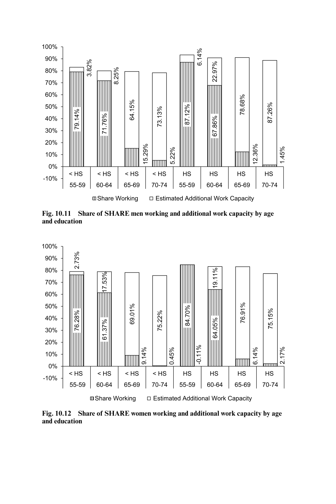

**Fig. 10.11 Share of SHARE men working and additional work capacity by age and education**



**Fig. 10.12 Share of SHARE women working and additional work capacity by age and education**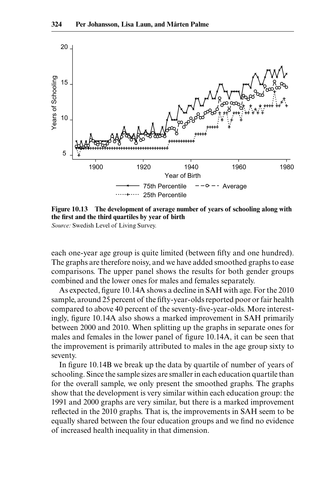

**Figure 10.13 The development of average number of years of schooling along with the first and the third quartiles by year of birth** *Source:* Swedish Level of Living Survey.

each one-year age group is quite limited (between fifty and one hundred). The graphs are therefore noisy, and we have added smoothed graphs to ease comparisons. The upper panel shows the results for both gender groups combined and the lower ones for males and females separately.

As expected, figure 10.14A shows a decline in SAH with age. For the 2010 sample, around 25 percent of the fifty-year-olds reported poor or fair health compared to above 40 percent of the seventy-five-year-olds. More interestingly, figure 10.14A also shows a marked improvement in SAH primarily between 2000 and 2010. When splitting up the graphs in separate ones for males and females in the lower panel of figure 10.14A, it can be seen that the improvement is primarily attributed to males in the age group sixty to seventy.

In figure 10.14B we break up the data by quartile of number of years of schooling. Since the sample sizes are smaller in each education quartile than for the overall sample, we only present the smoothed graphs. The graphs show that the development is very similar within each education group: the 1991 and 2000 graphs are very similar, but there is a marked improvement reflected in the 2010 graphs. That is, the improvements in SAH seem to be equally shared between the four education groups and we find no evidence of increased health inequality in that dimension.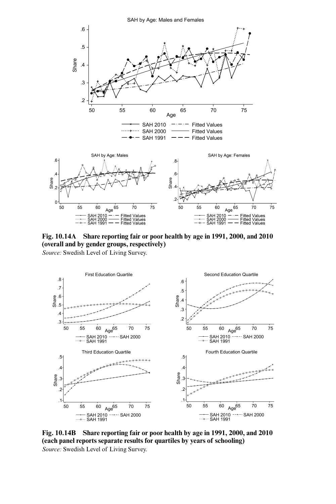

**Fig. 10.14A Share reporting fair or poor health by age in 1991, 2000, and 2010 (overall and by gender groups, respectively)** *Source:* Swedish Level of Living Survey.



**Fig. 10.14B Share reporting fair or poor health by age in 1991, 2000, and 2010 (each panel reports separate results for quartiles by years of schooling)** *Source:* Swedish Level of Living Survey.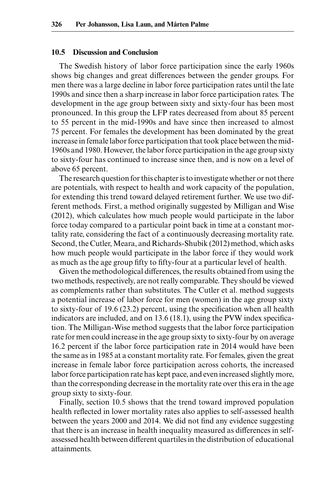## **10.5 Discussion and Conclusion**

The Swedish history of labor force participation since the early 1960s shows big changes and great differences between the gender groups. For men there was a large decline in labor force participation rates until the late 1990s and since then a sharp increase in labor force participation rates. The development in the age group between sixty and sixty-four has been most pronounced. In this group the LFP rates decreased from about 85 percent to 55 percent in the mid-1990s and have since then increased to almost 75 percent. For females the development has been dominated by the great increase in female labor force participation that took place between the mid-1960s and 1980. However, the labor force participation in the age group sixty to sixty-four has continued to increase since then, and is now on a level of above 65 percent.

The research question for this chapter is to investigate whether or not there are potentials, with respect to health and work capacity of the population, for extending this trend toward delayed retirement further. We use two different methods. First, a method originally suggested by Milligan and Wise (2012), which calculates how much people would participate in the labor force today compared to a particular point back in time at a constant mortality rate, considering the fact of a continuously decreasing mortality rate. Second, the Cutler, Meara, and Richards-Shubik (2012) method, which asks how much people would participate in the labor force if they would work as much as the age group fifty to fifty-four at a particular level of health.

Given the methodological differences, the results obtained from using the two methods, respectively, are not really comparable. They should be viewed as complements rather than substitutes. The Cutler et al. method suggests a potential increase of labor force for men (women) in the age group sixty to sixty-four of 19.6 (23.2) percent, using the specification when all health indicators are included, and on 13.6 (18.1), using the PVW index specification. The Milligan-Wise method suggests that the labor force participation rate for men could increase in the age group sixty to sixty-four by on average 16.2 percent if the labor force participation rate in 2014 would have been the same as in 1985 at a constant mortality rate. For females, given the great increase in female labor force participation across cohorts, the increased labor force participation rate has kept pace, and even increased slightly more, than the corresponding decrease in the mortality rate over this era in the age group sixty to sixty-four.

Finally, section 10.5 shows that the trend toward improved population health reflected in lower mortality rates also applies to self-assessed health between the years 2000 and 2014. We did not find any evidence suggesting that there is an increase in health inequality measured as differences in selfassessed health between different quartiles in the distribution of educational attainments.